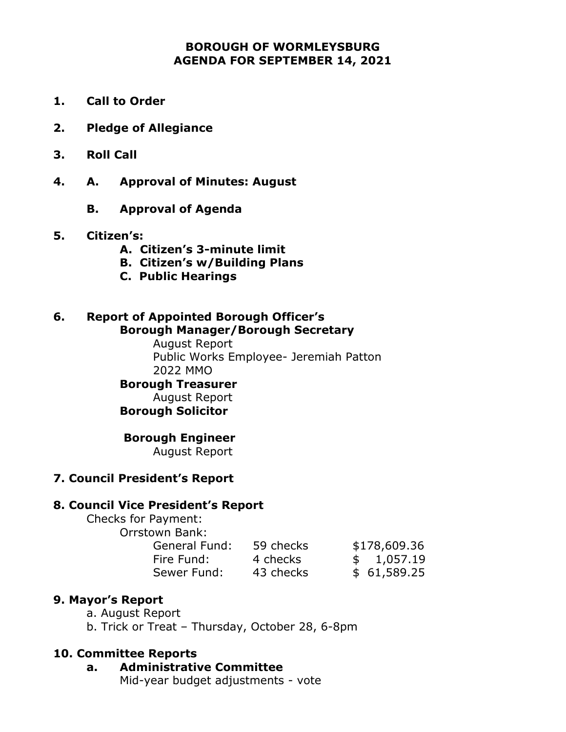#### **BOROUGH OF WORMLEYSBURG AGENDA FOR SEPTEMBER 14, 2021**

- **1. Call to Order**
- **2. Pledge of Allegiance**
- **3. Roll Call**
- **4. A. Approval of Minutes: August**
	- **B. Approval of Agenda**
- **5. Citizen's:**
	- **A. Citizen's 3-minute limit**
	- **B. Citizen's w/Building Plans**
	- **C. Public Hearings**

#### **6. Report of Appointed Borough Officer's Borough Manager/Borough Secretary**

August Report Public Works Employee- Jeremiah Patton 2022 MMO **Borough Treasurer** August Report

#### **Borough Solicitor**

#### **Borough Engineer**

August Report

#### **7. Council President's Report**

#### **8. Council Vice President's Report**

Checks for Payment:

Orrstown Bank:

| General Fund: | 59 checks | \$178,609.36 |
|---------------|-----------|--------------|
| Fire Fund:    | 4 checks  | \$1,057.19   |
| Sewer Fund:   | 43 checks | \$61,589.25  |

#### **9. Mayor's Report**

- a. August Report
- b. Trick or Treat Thursday, October 28, 6-8pm

#### **10. Committee Reports**

- **a. Administrative Committee**
	- Mid-year budget adjustments vote